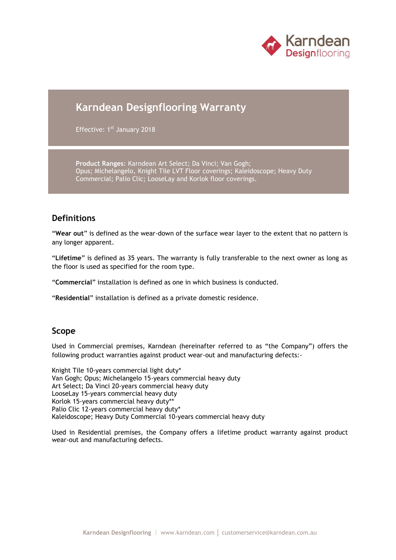

# **Karndean Designflooring Warranty**

Effective: 1<sup>st</sup> January 2018

**Product Ranges**: Karndean Art Select; Da Vinci; Van Gogh; Opus; Michelangelo, Knight Tile LVT Floor coverings; Kaleidoscope; Heavy Duty Commercial; Palio Clic; LooseLay and Korlok floor coverings.

### **Definitions**

"**Wear out**" is defined as the wear-down of the surface wear layer to the extent that no pattern is any longer apparent.

"**Lifetime**" is defined as 35 years. The warranty is fully transferable to the next owner as long as the floor is used as specified for the room type.

"**Commercial**" installation is defined as one in which business is conducted.

"**Residential**" installation is defined as a private domestic residence.

#### **Scope**

Used in Commercial premises, Karndean (hereinafter referred to as "the Company") offers the following product warranties against product wear-out and manufacturing defects:-

Knight Tile 10-years commercial light duty\* Van Gogh; Opus; Michelangelo 15-years commercial heavy duty Art Select; Da Vinci 20-years commercial heavy duty LooseLay 15-years commercial heavy duty Korlok 15-years commercial heavy duty\*\* Palio Clic 12-years commercial heavy duty\* Kaleidoscope; Heavy Duty Commercial 10-years commercial heavy duty

Used in Residential premises, the Company offers a lifetime product warranty against product wear-out and manufacturing defects.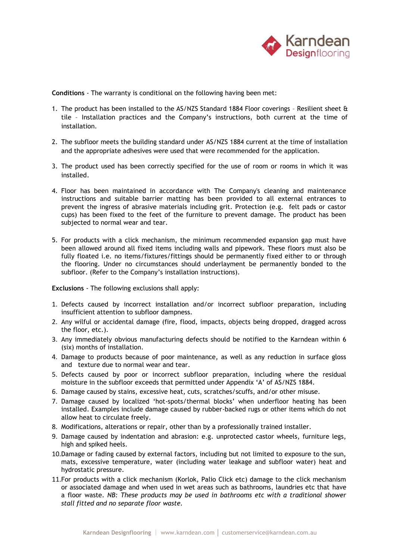

**Conditions** - The warranty is conditional on the following having been met:

- 1. The product has been installed to the AS/NZS Standard 1884 Floor coverings Resilient sheet & tile – Installation practices and the Company's instructions, both current at the time of installation.
- 2. The subfloor meets the building standard under AS/NZS 1884 current at the time of installation and the appropriate adhesives were used that were recommended for the application.
- 3. The product used has been correctly specified for the use of room or rooms in which it was installed.
- 4. Floor has been maintained in accordance with The Company's cleaning and maintenance instructions and suitable barrier matting has been provided to all external entrances to prevent the ingress of abrasive materials including grit. Protection (e.g. felt pads or castor cups) has been fixed to the feet of the furniture to prevent damage. The product has been subjected to normal wear and tear.
- 5. For products with a click mechanism, the minimum recommended expansion gap must have been allowed around all fixed items including walls and pipework. These floors must also be fully floated i.e. no items/fixtures/fittings should be permanently fixed either to or through the flooring. Under no circumstances should underlayment be permanently bonded to the subfloor. (Refer to the Company's installation instructions).

**Exclusions** - The following exclusions shall apply:

- 1. Defects caused by incorrect installation and/or incorrect subfloor preparation, including insufficient attention to subfloor dampness.
- 2. Any wilful or accidental damage (fire, flood, impacts, objects being dropped, dragged across the floor, etc.).
- 3. Any immediately obvious manufacturing defects should be notified to the Karndean within 6 (six) months of installation.
- 4. Damage to products because of poor maintenance, as well as any reduction in surface gloss and texture due to normal wear and tear.
- 5. Defects caused by poor or incorrect subfloor preparation, including where the residual moisture in the subfloor exceeds that permitted under Appendix 'A' of AS/NZS 1884.
- 6. Damage caused by stains, excessive heat, cuts, scratches/scuffs, and/or other misuse.
- 7. Damage caused by localized 'hot-spots/thermal blocks' when underfloor heating has been installed. Examples include damage caused by rubber-backed rugs or other items which do not allow heat to circulate freely.
- 8. Modifications, alterations or repair, other than by a professionally trained installer.
- 9. Damage caused by indentation and abrasion: e.g. unprotected castor wheels, furniture legs, high and spiked heels.
- 10.Damage or fading caused by external factors, including but not limited to exposure to the sun, mats, excessive temperature, water (including water leakage and subfloor water) heat and hydrostatic pressure.
- 11.For products with a click mechanism (Korlok, Palio Click etc) damage to the click mechanism or associated damage and when used in wet areas such as bathrooms, laundries etc that have a floor waste. *NB: These products may be used in bathrooms etc with a traditional shower stall fitted and no separate floor waste.*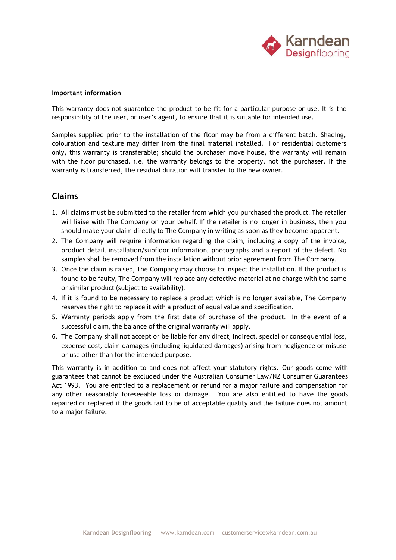

#### **Important information**

This warranty does not guarantee the product to be fit for a particular purpose or use. It is the responsibility of the user, or user's agent, to ensure that it is suitable for intended use.

Samples supplied prior to the installation of the floor may be from a different batch. Shading, colouration and texture may differ from the final material installed. For residential customers only, this warranty is transferable; should the purchaser move house, the warranty will remain with the floor purchased. i.e. the warranty belongs to the property, not the purchaser. If the warranty is transferred, the residual duration will transfer to the new owner.

## **Claims**

- 1. All claims must be submitted to the retailer from which you purchased the product. The retailer will liaise with The Company on your behalf. If the retailer is no longer in business, then you should make your claim directly to The Company in writing as soon as they become apparent.
- 2. The Company will require information regarding the claim, including a copy of the invoice, product detail, installation/subfloor information, photographs and a report of the defect. No samples shall be removed from the installation without prior agreement from The Company.
- 3. Once the claim is raised, The Company may choose to inspect the installation. If the product is found to be faulty, The Company will replace any defective material at no charge with the same or similar product (subject to availability).
- 4. If it is found to be necessary to replace a product which is no longer available, The Company reserves the right to replace it with a product of equal value and specification.
- 5. Warranty periods apply from the first date of purchase of the product. In the event of a successful claim, the balance of the original warranty will apply.
- 6. The Company shall not accept or be liable for any direct, indirect, special or consequential loss, expense cost, claim damages (including liquidated damages) arising from negligence or misuse or use other than for the intended purpose.

This warranty is in addition to and does not affect your statutory rights. Our goods come with guarantees that cannot be excluded under the Australian Consumer Law/NZ Consumer Guarantees Act 1993. You are entitled to a replacement or refund for a major failure and compensation for any other reasonably foreseeable loss or damage. You are also entitled to have the goods repaired or replaced if the goods fail to be of acceptable quality and the failure does not amount to a major failure.